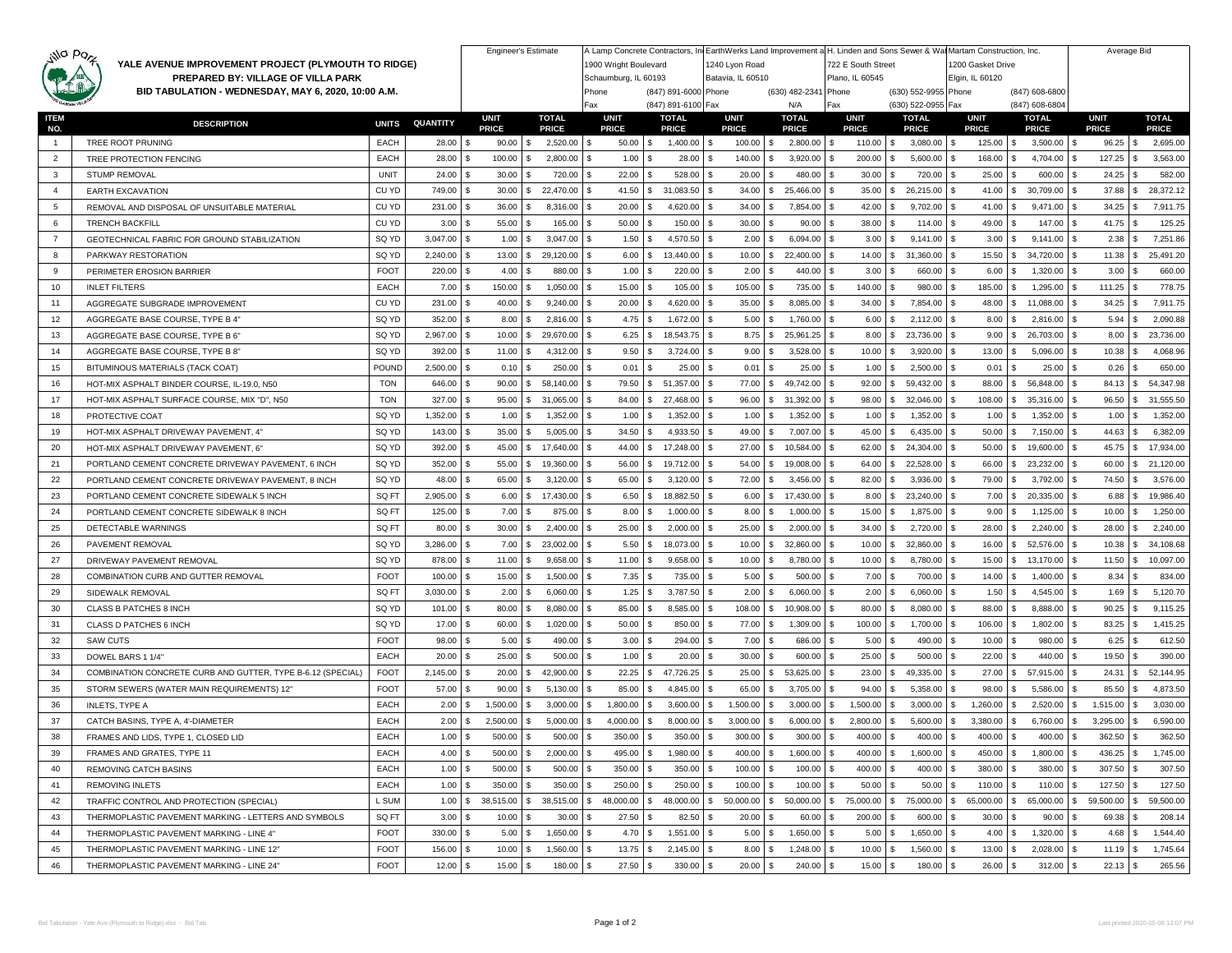| jilla parz                                                                                                                                       |                                                             |              |                 |                         | <b>Engineer's Estimate</b> |                 |                                            |                   |                       | A Lamp Concrete Contractors, IntEarthWerks Land Improvement a H. Linden and Sons Sewer & Wat Martam Construction, Inc.<br>722 E South Street |                                            |                |                                  | Average Bid     |                 |  |  |
|--------------------------------------------------------------------------------------------------------------------------------------------------|-------------------------------------------------------------|--------------|-----------------|-------------------------|----------------------------|-----------------|--------------------------------------------|-------------------|-----------------------|----------------------------------------------------------------------------------------------------------------------------------------------|--------------------------------------------|----------------|----------------------------------|-----------------|-----------------|--|--|
| YALE AVENUE IMPROVEMENT PROJECT (PLYMOUTH TO RIDGE)<br>PREPARED BY: VILLAGE OF VILLA PARK<br>BID TABULATION - WEDNESDAY, MAY 6, 2020, 10:00 A.M. |                                                             |              |                 |                         | 1900 Wright Boulevard      |                 | 1240 Lyon Road                             |                   | 1200 Gasket Drive     |                                                                                                                                              |                                            |                |                                  |                 |                 |  |  |
|                                                                                                                                                  |                                                             |              |                 |                         | Schaumburg, IL 60193       |                 | Batavia, IL 60510                          |                   | Plano, IL 60545       |                                                                                                                                              | Elgin, IL 60120                            |                |                                  |                 |                 |  |  |
|                                                                                                                                                  |                                                             |              |                 |                         |                            | Phone<br>Fax    | (847) 891-6000 Phone<br>(847) 891-6100 Fax |                   | (630) 482-2341<br>N/A | Phone<br>Fax                                                                                                                                 | (630) 552-9955 Phone<br>(630) 522-0955 Fax |                | (847) 608-6800<br>(847) 608-6804 |                 |                 |  |  |
|                                                                                                                                                  | TEM                                                         |              |                 | <b>UNIT</b>             | <b>TOTAL</b>               | <b>UNIT</b>     | <b>TOTAL</b>                               | <b>UNIT</b>       | <b>TOTAL</b>          | <b>UNIT</b>                                                                                                                                  | <b>TOTAL</b>                               | <b>UNIT</b>    | <b>TOTAL</b>                     | <b>UNIT</b>     | <b>TOTAL</b>    |  |  |
| NO.                                                                                                                                              | <b>DESCRIPTION</b>                                          | <b>UNITS</b> | <b>QUANTITY</b> | <b>PRICE</b>            | <b>PRICE</b>               | <b>PRICE</b>    | <b>PRICE</b>                               | <b>PRICE</b>      | <b>PRICE</b>          | <b>PRICE</b>                                                                                                                                 | <b>PRICE</b>                               | <b>PRICE</b>   | <b>PRICE</b>                     | <b>PRICE</b>    | <b>PRICE</b>    |  |  |
| $\mathbf{1}$                                                                                                                                     | TREE ROOT PRUNING                                           | EACH         | 28.00           | 90.00                   | 2,520.00<br>۹.             | 50.00           | 1,400.00<br>l S                            | 100.00<br>l \$    | 2,800.00<br>\$        | 110.00                                                                                                                                       | 3,080.00                                   | 125.00<br>\$.  | 3,500.00                         | 96.25           | 2,695.00        |  |  |
| $\overline{2}$                                                                                                                                   | TREE PROTECTION FENCING                                     | <b>EACH</b>  | 28.00           | 100.00                  | 2,800.00                   | 1.00            | 28.00                                      | 140.00            | 3,920.00              | 200.00                                                                                                                                       | 5,600.00                                   | 168.00         | 4,704.00                         | 127.25          | 3,563.00        |  |  |
| 3                                                                                                                                                | STUMP REMOVAL                                               | <b>UNIT</b>  | 24.00           | 30.00                   | 720.00                     | 22.00           | 528.00                                     | 20.00             | 480.00                | 30.00                                                                                                                                        | 720.00                                     | 25.00          | 600.00                           | 24.25           | 582.00          |  |  |
| $\overline{4}$                                                                                                                                   | <b>EARTH EXCAVATION</b>                                     | CU YD        | 749.00          | 30.00                   | 22,470.00<br>S.            | 41.50           | 31,083.50<br>-S                            | 34.00             | 25,466.00             | 35.00                                                                                                                                        | 26,215.00                                  | 41.00          | 30,709.00                        | 37.88           | 28,372.12       |  |  |
| 5                                                                                                                                                | REMOVAL AND DISPOSAL OF UNSUITABLE MATERIAL                 | CU YD        | 231.00          | 36.00<br>-S             | 8,316.00<br>S.             | 20.00           | 4,620.00<br>- \$                           | 34.00             | 7,854.00              | 42.00                                                                                                                                        | 9,702.00                                   | 41.00<br>S     | 9,471.00                         | 34.25           | 7,911.75        |  |  |
| 6                                                                                                                                                | <b>TRENCH BACKFILL</b>                                      | CU YD        | 3.00            | 55.00                   | 165.00                     | 50.00           | 150.00                                     | 30.00             | 90.00                 | 38.00                                                                                                                                        | 114.00                                     | 49.00          | 147.00                           | 41.75           | 125.25          |  |  |
| $\overline{7}$                                                                                                                                   | GEOTECHNICAL FABRIC FOR GROUND STABILIZATION                | SQ YD        | 3,047.00        | 1.00                    | 3,047.00                   | 1.50            | 4,570.50<br>-8                             | 2.00              | 6,094.00              | 3.00                                                                                                                                         | 9,141.00                                   | 3.00           | 9,141.00                         | 2.38            | 7,251.86        |  |  |
| 8                                                                                                                                                | PARKWAY RESTORATION                                         | SQ YD        | 2,240.00        | 13.00                   | 29,120.00<br>S.            | 6.00            | 13,440.00<br>∣\$                           | 10.00             | 22,400.00             | 14.00                                                                                                                                        | 31,360.00                                  | S<br>15.50     | 34,720.00                        | 11.38           | 25,491.20       |  |  |
| 9                                                                                                                                                | PERIMETER EROSION BARRIER                                   | <b>FOOT</b>  | 220.00          | 4.00                    | 880.00                     | 1.00            | 220.00<br>ΙS                               | 2.00              | 440.00                | 3.00                                                                                                                                         | 660.00                                     | 6.00           | 1,320.00                         | 3.00            | 660.00          |  |  |
| 10                                                                                                                                               | <b>INLET FILTERS</b>                                        | EACH         | 7.00            | 150.00<br><b>S</b>      | 1,050.00                   | 15.00           | 105.00                                     | 105.00            | 735.00                | 140.00                                                                                                                                       | 980.00                                     | 185.00         | 1,295.00                         | 111.25          | 778.75          |  |  |
| 11                                                                                                                                               | AGGREGATE SUBGRADE IMPROVEMENT                              | CU YD        | 231.00          | 40.00                   | 9,240.00                   | 20.00           | 4,620.00                                   | 35.00             | 8,085.00              | 34.00                                                                                                                                        | 7,854.00                                   | 48.00          | 11,088.00                        | 34.25           | 7,911.75        |  |  |
| 12                                                                                                                                               | AGGREGATE BASE COURSE, TYPE B 4"                            | SQ YD        | 352.00          | 8.00                    | 2,816.00                   | 4.75            | 1,672.00<br>- \$                           | 5.00<br>- S       | 1,760.00              | 6.00                                                                                                                                         | 2,112.00                                   | 8.00<br>S      | 2,816.00                         | 5.94            | 2,090.88        |  |  |
| 13                                                                                                                                               | AGGREGATE BASE COURSE, TYPE B 6'                            | SQ YD        | 2,967.00        | 10.00                   | 29,670.00                  | 6.25            | 18,543.75<br>- \$                          | 8.75              | 25,961.25             | 8.00                                                                                                                                         | 23,736.00                                  | 9.00           | 26,703.00                        | 8.00            | 23,736.00       |  |  |
| 14                                                                                                                                               | AGGREGATE BASE COURSE. TYPE B 8"                            | SQ YD        | 392.00          | 11.00                   | 4,312.00                   | 9.50            | 3,724.00<br>-8                             | 9.00              | 3,528.00              | 10.00                                                                                                                                        | 3,920.00                                   | 13.00          | 5,096.00                         | 10.38           | 4,068.96        |  |  |
| 15                                                                                                                                               | BITUMINOUS MATERIALS (TACK COAT                             | POUND        | 2,500.00        | 0.10                    | 250.00                     | 0.01            | 25.00                                      | 0.01              | 25.00                 | 1.00                                                                                                                                         | 2,500.00                                   | 0.01<br>\$     | 25.00                            | 0.26            | 650.00          |  |  |
| 16                                                                                                                                               | HOT-MIX ASPHALT BINDER COURSE, IL-19.0, N50                 | <b>TON</b>   | 646.00          | 90.00<br>-S             | 58,140.00<br>\$.           | 79.50           | 51,357.00<br>∣\$                           | 77.00<br>- S      | 49,742.00<br>S.       | 92.00                                                                                                                                        | 59,432.00                                  | 88.00          | 56,848.00                        | 84.13           | 54,347.98<br>S. |  |  |
| 17                                                                                                                                               | HOT-MIX ASPHALT SURFACE COURSE, MIX "D", N50                | <b>TON</b>   | 327.00          | 95.00                   | 31,065.00<br>ς.            | 84.00           | 27,468.00                                  | 96.00             | 31,392.00             | 98.00                                                                                                                                        | 32,046.00                                  | 108.00         | 35,316.00                        | 96.50           | 31,555.50       |  |  |
| 18                                                                                                                                               | PROTECTIVE COAT                                             | SQ YD        | 1,352.00        | 1.00                    | 1,352.00                   | 1.00            | 1,352.00                                   | 1.00              | 1,352.00              | 1.00                                                                                                                                         | 1,352.00                                   | 1.00           | 1,352.00                         | 1.00            | 1,352.00        |  |  |
| 19                                                                                                                                               | HOT-MIX ASPHALT DRIVEWAY PAVEMENT, 4"                       | SQ YD        | 143.00          | 35.00<br>$\mathbf{s}$   | 5,005.00                   | 34.50           | 4,933.50<br>- \$                           | 49.00             | 7,007.00              | 45.00                                                                                                                                        | 6,435.00                                   | 50.00<br>\$.   | 7,150.00                         | 44.63           | 6,382.09        |  |  |
| 20                                                                                                                                               | HOT-MIX ASPHALT DRIVEWAY PAVEMENT, 6'                       | SQ YD        | 392.00          | 45.00                   | 17,640.00                  | 44.00           | 17,248.00                                  | 27.00             | 10,584.00             | 62.00                                                                                                                                        | 24,304.00                                  | 50.00          | 19,600.00                        | 45.75           | 17,934.00       |  |  |
| 21                                                                                                                                               | PORTLAND CEMENT CONCRETE DRIVEWAY PAVEMENT, 6 INCH          | SQ YD        | 352.00          | 55.00                   | 19,360.00<br>S.            | 56.00           | 19,712.00<br>-S                            | 54.00             | 19,008.00             | 64.00                                                                                                                                        | 22,528.00                                  | 66.00<br>S     | 23,232.00                        | 60.00           | 21,120.00       |  |  |
| 22                                                                                                                                               | PORTLAND CEMENT CONCRETE DRIVEWAY PAVEMENT, 8 INCH          | SQ YD        | 48.00           | 65.00                   | 3,120.00                   | 65.00           | 3,120.00                                   | 72.00             | 3,456.00              | 82.00                                                                                                                                        | 3,936.00                                   | 79.00          | 3,792.00                         | 74.50           | 3,576.00        |  |  |
| 23                                                                                                                                               | PORTLAND CEMENT CONCRETE SIDEWALK 5 INCH                    | SQ FT        | 2,905.00        | 6.00<br>-S              | 17,430.00<br>S.            | 6.50            | 18,882.50<br>∣\$                           | 6.00<br>- S       | 17,430.00<br>S        | 8.00                                                                                                                                         | 23,240.00                                  | 7.00<br>S.     | 20,335.00                        | 6.88            | 19,986.40       |  |  |
| 24                                                                                                                                               | PORTLAND CEMENT CONCRETE SIDEWALK 8 INCH                    | SQ FT        | 125.00          | 7.00                    | 875.00                     | 8.00            | 1,000.00                                   | 8.00              | 1,000.00              | 15.00                                                                                                                                        | 1,875.00                                   | 9.00           | 1,125.00                         | 10.00           | 1,250.00        |  |  |
| 25                                                                                                                                               | DETECTABLE WARNINGS                                         | SQ FT        | 80.00           | 30.00                   | 2,400.00                   | 25.00           | 2,000.00                                   | 25.00             | 2,000.00              | 34.00                                                                                                                                        | 2,720.00                                   | 28.00          | 2,240.00                         | 28.00           | 2,240.00        |  |  |
| 26                                                                                                                                               | PAVEMENT REMOVAL                                            | SQ YD        | 3,286.00        | 7.00                    | 23,002.00<br>S.            | 5.50            | 18,073.00<br>∣\$                           | 10.00             | 32,860.00             | 10.00                                                                                                                                        | 32,860.00                                  | S<br>16.00     | 52,576.00                        | 10.38           | 34,108.68       |  |  |
| 27                                                                                                                                               | DRIVEWAY PAVEMENT REMOVAL                                   | SQ YD        | 878.00          | 11.00                   | 9,658.00                   | 11.00           | 9,658.00                                   | 10.00             | 8,780.00              | 10.00                                                                                                                                        | 8,780.00                                   | 15.00          | 13,170.00                        | 11.50           | 10,097.00       |  |  |
| 28                                                                                                                                               | COMBINATION CURB AND GUTTER REMOVAL                         | <b>FOOT</b>  | 100.00          | 15.00                   | 1,500.00                   | 7.35            | 735.00                                     | 5.00              | 500.00                | 7.00                                                                                                                                         | 700.00                                     | 14.00          | 1,400.00                         | 8.34            | 834.00          |  |  |
| 29                                                                                                                                               | SIDEWALK REMOVAL                                            | SQ FT        | 3,030.00        | 2.00                    | 6,060.00                   | 1.25            | 3,787.50                                   | 2.00              | 6,060.00              | 2.00                                                                                                                                         | 6,060.00                                   | 1.50           | 4,545.00                         | 1.69            | 5,120.70        |  |  |
| 30                                                                                                                                               | CLASS B PATCHES 8 INCH                                      | SQ YD        | 101.00          | 80.00<br>-S             | 8,080.00                   | 85.00           | 8,585.00<br>∣\$                            | 108.00            | 10,908.00             | 80.00                                                                                                                                        | 8,080.00                                   | 88.00<br>S     | 8,888.00                         | 90.25           | 9,115.25        |  |  |
| 31                                                                                                                                               | CLASS D PATCHES 6 INCH                                      | SQ YD        | 17.00           | 60.00                   | 1,020.00                   | 50.00           | 850.00                                     | 77.00             | 1,309.00              | 100.00                                                                                                                                       | 1,700.00                                   | 106.00         | 1,802.00                         | 83.25           | 1,415.25        |  |  |
| 32                                                                                                                                               | <b>SAW CUTS</b>                                             | <b>FOOT</b>  | 98.00           | 5.00                    | 490.00                     | 3.00            | 294.00<br>l S                              | 7.00              | 686.00                | 5.00                                                                                                                                         | 490.00                                     | 10.00          | 980.00                           | 6.25            | 612.50          |  |  |
| 33                                                                                                                                               | DOWEL BARS 1 1/4"                                           | EACH         | 20.00           | 25.00                   | 500.00                     | 1.00            | 20.00<br>١s                                | 30.00             | 600.00                | 25.00                                                                                                                                        | 500.00                                     | 22.00<br>S     | 440.00                           | 19.50           | 390.00          |  |  |
| 34                                                                                                                                               | COMBINATION CONCRETE CURB AND GUTTER, TYPE B-6.12 (SPECIAL) | <b>FOOT</b>  | 2,145.00        | 20.00                   | 42,900.00<br>S.            | 22.25           | 47,726.25<br>S.                            | 25.00             | 53,625.00             | 23.00                                                                                                                                        | 49,335.00                                  | 27.00          | 57,915.00                        | 24.31           | 52,144.95       |  |  |
| 35                                                                                                                                               | STORM SEWERS (WATER MAIN REQUIREMENTS) 12                   | <b>FOOT</b>  | 57.00           | 90.00                   | 5,130.00                   | 85.00           | 4,845.00                                   | 65.00             | 3,705.00              | 94.00                                                                                                                                        | 5,358.00                                   | 98.00          | 5,586.00                         | 85.50           | 4,873.50        |  |  |
| 36                                                                                                                                               | <b>INLETS, TYPE A</b>                                       | EACH         | 2.00            | 1,500.00                | 3,000.00                   | 1,800.00        | 3,600.00                                   | 1,500.00          | 3,000.00              | 1,500.00                                                                                                                                     | 3,000.00                                   | 1,260.00       | 2,520.00                         | 1,515.00        | 3,030.00        |  |  |
| 37                                                                                                                                               | CATCH BASINS, TYPE A. 4'-DIAMETER                           | EACH         | 2.00            | 2,500.00<br>£.          | 5,000.00                   | 4,000.00        | 8,000.00                                   | 3,000.00          | 6,000.00              | 2,800.00                                                                                                                                     | 5,600.00                                   | 3,380.00<br>S  | 6,760.00                         | 3,295.00        | 6,590.00        |  |  |
| 38                                                                                                                                               | FRAMES AND LIDS. TYPE 1. CLOSED LID                         | EACH         | 1.00            | 500.00<br>S             | 500.00                     | 350.00          | 350.00                                     | 300.00            | 300.00                | 400.00                                                                                                                                       | 400.00                                     | 400.00         | 400.00                           | 362.50          | 362.50          |  |  |
| 39                                                                                                                                               | FRAMES AND GRATES, TYPE 11                                  | EACH         | 4.00            | <b>S</b><br>500.00      | 2,000.00<br>s.             | 495.00 \$       | 1,980.00                                   | 400.00<br>l S     | 1,600.00<br>S.        | 400.00                                                                                                                                       | 1,600.00<br>IS.                            | 450.00<br>S    | 1,800.00<br>S                    | $436.25$ \$     | 1,745.00        |  |  |
| 40                                                                                                                                               | REMOVING CATCH BASINS                                       | EACH         | 1.00            | 500.00<br>\$            | 500.00                     | 350.00          | 350.00<br>l S                              | 100.00<br>l \$    | 100.00                | 400.00                                                                                                                                       | 400.00                                     | 380.00<br>S    | 380.00                           | 307.50          | 307.50          |  |  |
| 41                                                                                                                                               | REMOVING INLETS                                             | EACH         | 1.00            | 350.00<br><b>S</b>      | 350.00<br>S                | 250.00          | 250.00<br>IS                               | 100.00<br>∣\$     | 100.00<br>S           | 50.00<br>S                                                                                                                                   | 50.00<br>S                                 | 110.00<br>S    | 110.00                           | 127.50<br>S     | 127.50<br>- 86  |  |  |
| 42                                                                                                                                               | TRAFFIC CONTROL AND PROTECTION (SPECIAL)                    | L SUM        | 1.00            | $\sqrt{3}$<br>38,515.00 | 38,515.00<br>\$            | 48,000.00<br>s. | 48,000.00<br>IS.                           | 50,000.00<br>- \$ | 50,000.00<br>s        | 75,000.00<br>S.                                                                                                                              | 75,000.00                                  | S<br>65,000.00 | 65,000.00                        | 59,500.00<br>S. | 59,500.00       |  |  |
| 43                                                                                                                                               | THERMOPLASTIC PAVEMENT MARKING - LETTERS AND SYMBOLS        | SQ FT        | 3.00            | 10.00<br>- 35           | 30.00                      | 27.50           | 82.50<br>l S                               | 20.00<br>- S      | 60.00                 | 200.00                                                                                                                                       | 600.00                                     | 30.00          | 90.00                            | 69.38           | 208.14          |  |  |
| 44                                                                                                                                               | THERMOPLASTIC PAVEMENT MARKING - LINE 4"                    | <b>FOOT</b>  | 330.00          | <b>S</b><br>5.00        | \$<br>1,650.00             | 4.70S           | 1,551.00                                   | 5.00<br>l S       | 1,650.00<br>-S        | 5.00                                                                                                                                         | 1,650.00<br>-S.                            | \$<br>4.00     | 1,320.00                         | 4.68<br>\$.     | 1,544.40<br>-S  |  |  |
| 45                                                                                                                                               | THERMOPLASTIC PAVEMENT MARKING - LINE 12"                   | <b>FOOT</b>  | 156.00          | 10.00<br>-S             | 1,560.00<br>S              | $13.75$ \\$     | 2,145.00                                   | 8.00<br><b>S</b>  | 1,248.00<br>S         | 10.00                                                                                                                                        | 1,560.00<br>S                              | 13.00<br>\$.   | 2,028.00                         | 11.19           | 1,745.64<br>S.  |  |  |
| 46                                                                                                                                               | THERMOPLASTIC PAVEMENT MARKING - LINE 24"                   | <b>FOOT</b>  | 12.00           | l S<br>15.00            | 180.00                     | $27.50$ \$      | 330.00                                     | 20.00<br>l \$     | 240.00<br>- \$        | 15.00                                                                                                                                        | 180.00                                     | \$<br>26.00    | 312.00                           | 22.13           | 265.56          |  |  |
|                                                                                                                                                  |                                                             |              |                 |                         |                            |                 |                                            |                   |                       |                                                                                                                                              |                                            |                |                                  |                 |                 |  |  |